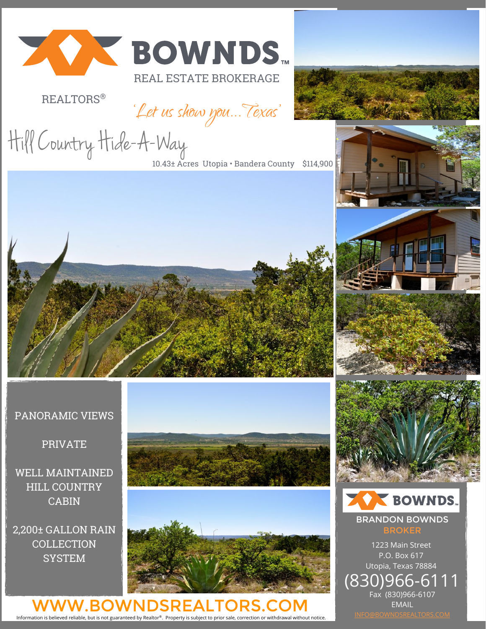



REALTORS®

'Let us show you...Texas'

Hill Country Hide-A-Way

10.43± Acres Utopia • Bandera County \$114,900



## PANORAMIC VIEWS

PRIVATE

WELL MAINTAINED **HILL COUNTRY** CABIN

2,200± GALLON RAIN **COLLECTION SYSTEM** 





[WWW.BOWNDSREALTORS.COM](http://WWW.BOWNDSREALTORS) Information is believed reliable, but is not guaranteed by Realtor®. Property is subject to prior sale, correction or withdrawal without notice.







1223 Main Street P.O. Box 617 Utopia, Texas 78884 (830)966-6111 Fax (830)966-6107 EMAIL [INFO@BOWNDSREALTORS.COM](mailto:INFO@BOWNDSREALTORS.COM)